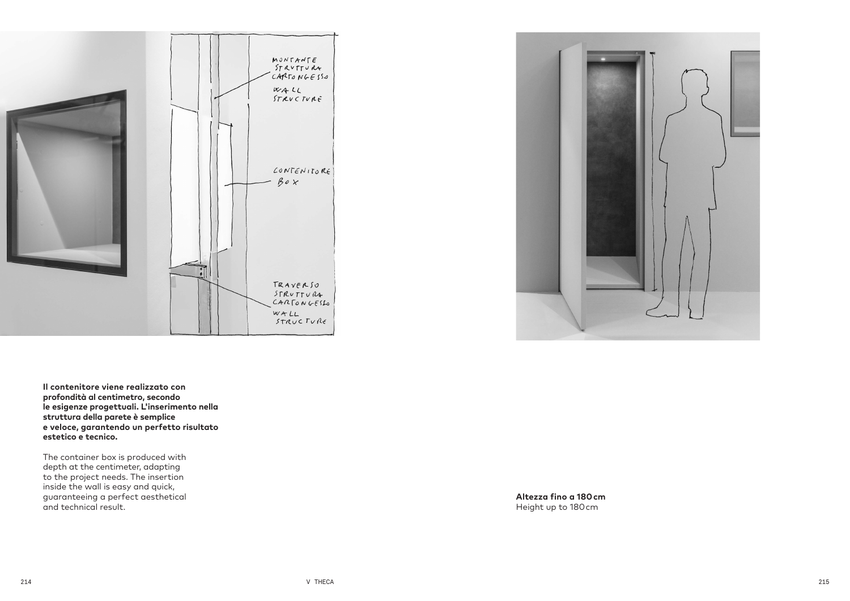



**Il contenitore viene realizzato con profondità al centimetro, secondo le esigenze progettuali. L'inserimento nella struttura della parete è semplice e veloce, garantendo un perfetto risultato estetico e tecnico.**

The container box is produced with depth at the centimeter, adapting to the project needs. The insertion inside the wall is easy and quick, guaranteeing a perfect aesthetical and technical result.

**Altezza fino a 180 cm** Height up to 180 cm